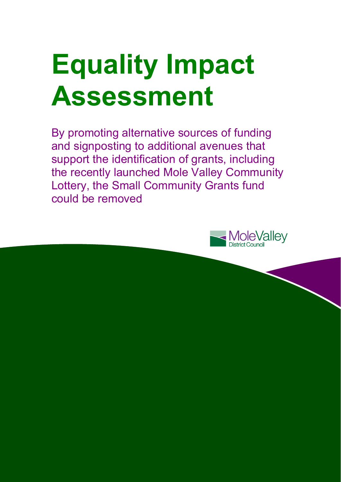# **Equality Impact Assessment**

By promoting alternative sources of funding and signposting to additional avenues that support the identification of grants, including the recently launched Mole Valley Community Lottery, the Small Community Grants fund could be removed

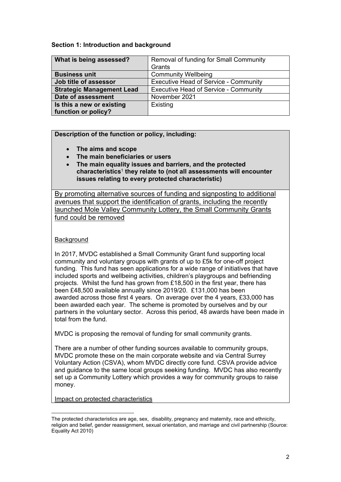#### **Section 1: Introduction and background**

| What is being assessed?          | Removal of funding for Small Community       |  |  |
|----------------------------------|----------------------------------------------|--|--|
|                                  | Grants                                       |  |  |
| <b>Business unit</b>             | <b>Community Wellbeing</b>                   |  |  |
| Job title of assessor            | <b>Executive Head of Service - Community</b> |  |  |
| <b>Strategic Management Lead</b> | <b>Executive Head of Service - Community</b> |  |  |
| Date of assessment               | November 2021                                |  |  |
| Is this a new or existing        | Existing                                     |  |  |
| function or policy?              |                                              |  |  |

#### **Description of the function or policy, including:**

- **The aims and scope**
- **The main beneficiaries or users**
- **The main equality issues and barriers, and the protected characteristics**<sup>1</sup> **they relate to (not all assessments will encounter issues relating to every protected characteristic)**

By promoting alternative sources of funding and signposting to additional avenues that support the identification of grants, including the recently launched Mole Valley Community Lottery, the Small Community Grants fund could be removed

#### **Background**

In 2017, MVDC established a Small Community Grant fund supporting local community and voluntary groups with grants of up to £5k for one-off project funding. This fund has seen applications for a wide range of initiatives that have included sports and wellbeing activities, children's playgroups and befriending projects. Whilst the fund has grown from £18,500 in the first year, there has been £48,500 available annually since 2019/20. £131,000 has been awarded across those first 4 years. On average over the 4 years, £33,000 has been awarded each year. The scheme is promoted by ourselves and by our partners in the voluntary sector. Across this period, 48 awards have been made in total from the fund.

MVDC is proposing the removal of funding for small community grants.

There are a number of other funding sources available to community groups, MVDC promote these on the main corporate website and via Central Surrey Voluntary Action (CSVA), whom MVDC directly core fund. CSVA provide advice and guidance to the same local groups seeking funding. MVDC has also recently set up a Community Lottery which provides a way for community groups to raise money.

Impact on protected characteristics

l

The protected characteristics are age, sex, disability, pregnancy and maternity, race and ethnicity, religion and belief, gender reassignment, sexual orientation, and marriage and civil partnership (Source: Equality Act 2010)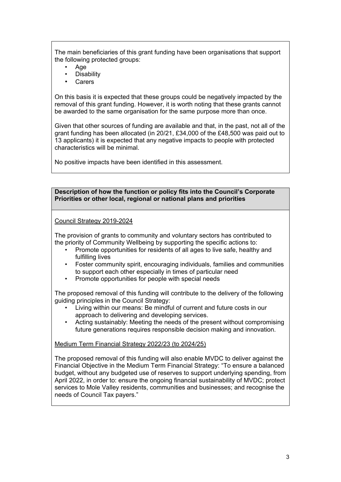The main beneficiaries of this grant funding have been organisations that support the following protected groups:

- Age
- **Disability**
- **Carers**

On this basis it is expected that these groups could be negatively impacted by the removal of this grant funding. However, it is worth noting that these grants cannot be awarded to the same organisation for the same purpose more than once.

Given that other sources of funding are available and that, in the past, not all of the grant funding has been allocated (in 20/21, £34,000 of the £48,500 was paid out to 13 applicants) it is expected that any negative impacts to people with protected characteristics will be minimal.

No positive impacts have been identified in this assessment.

#### **Description of how the function or policy fits into the Council's Corporate Priorities or other local, regional or national plans and priorities**

#### Council Strategy 2019-2024

The provision of grants to community and voluntary sectors has contributed to the priority of Community Wellbeing by supporting the specific actions to:

- Promote opportunities for residents of all ages to live safe, healthy and fulfilling lives
- Foster community spirit, encouraging individuals, families and communities to support each other especially in times of particular need
- Promote opportunities for people with special needs

The proposed removal of this funding will contribute to the delivery of the following guiding principles in the Council Strategy:

- Living within our means: Be mindful of current and future costs in our approach to delivering and developing services.
- Acting sustainably: Meeting the needs of the present without compromising future generations requires responsible decision making and innovation.

#### Medium Term Financial Strategy 2022/23 (to 2024/25)

The proposed removal of this funding will also enable MVDC to deliver against the Financial Objective in the Medium Term Financial Strategy: "To ensure a balanced budget, without any budgeted use of reserves to support underlying spending, from April 2022, in order to: ensure the ongoing financial sustainability of MVDC; protect services to Mole Valley residents, communities and businesses; and recognise the needs of Council Tax payers."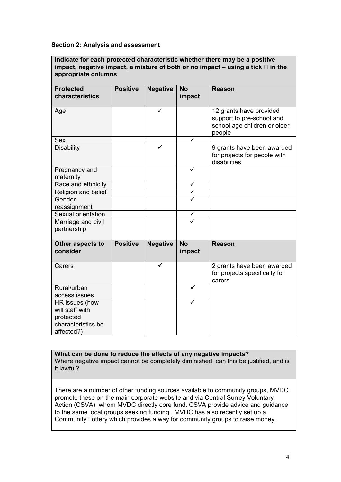#### **Section 2: Analysis and assessment**

**Indicate for each protected characteristic whether there may be a positive**  impact, negative impact, a mixture of both or no impact  $-$  using a tick  $\Box$  in the **appropriate columns** 

| <b>Protected</b><br>characteristics | <b>Positive</b> | <b>Negative</b> | <b>No</b><br>impact | <b>Reason</b>                                                                                  |  |
|-------------------------------------|-----------------|-----------------|---------------------|------------------------------------------------------------------------------------------------|--|
| Age                                 |                 | ✓               |                     | 12 grants have provided<br>support to pre-school and<br>school age children or older<br>people |  |
| <b>Sex</b>                          |                 |                 |                     |                                                                                                |  |
| <b>Disability</b>                   |                 | ✓               |                     | 9 grants have been awarded<br>for projects for people with<br>disabilities                     |  |
| Pregnancy and<br>maternity          |                 |                 | ✓                   |                                                                                                |  |
| Race and ethnicity                  |                 |                 | $\checkmark$        |                                                                                                |  |
| Religion and belief                 |                 |                 | $\checkmark$        |                                                                                                |  |
| Gender<br>reassignment              |                 |                 |                     |                                                                                                |  |
| Sexual orientation                  |                 |                 | $\checkmark$        |                                                                                                |  |
| Marriage and civil<br>partnership   |                 |                 |                     |                                                                                                |  |
| Other aspects to<br>consider        | <b>Positive</b> | <b>Negative</b> | <b>No</b><br>impact | <b>Reason</b>                                                                                  |  |
| Carers                              |                 |                 |                     | 2 grants have been awarded<br>for projects specifically for<br>carers                          |  |
| Rural/urban                         |                 |                 | ✓                   |                                                                                                |  |
| access issues                       |                 |                 |                     |                                                                                                |  |
| HR issues (how                      |                 |                 | ✓                   |                                                                                                |  |
| will staff with                     |                 |                 |                     |                                                                                                |  |
| protected                           |                 |                 |                     |                                                                                                |  |
| characteristics be<br>affected?)    |                 |                 |                     |                                                                                                |  |

### **What can be done to reduce the effects of any negative impacts?**

Where negative impact cannot be completely diminished, can this be justified, and is it lawful?

There are a number of other funding sources available to community groups, MVDC promote these on the main corporate website and via Central Surrey Voluntary Action (CSVA), whom MVDC directly core fund. CSVA provide advice and guidance to the same local groups seeking funding. MVDC has also recently set up a Community Lottery which provides a way for community groups to raise money.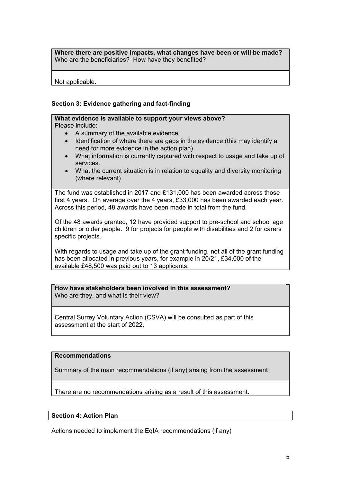**Where there are positive impacts, what changes have been or will be made?**  Who are the beneficiaries? How have they benefited?

Not applicable.

#### **Section 3: Evidence gathering and fact-finding**

## **What evidence is available to support your views above?**

Please include:

- A summary of the available evidence
- Identification of where there are gaps in the evidence (this may identify a need for more evidence in the action plan)
- What information is currently captured with respect to usage and take up of services.
- What the current situation is in relation to equality and diversity monitoring (where relevant)

The fund was established in 2017 and £131,000 has been awarded across those first 4 years. On average over the 4 years, £33,000 has been awarded each year. Across this period, 48 awards have been made in total from the fund.

Of the 48 awards granted, 12 have provided support to pre-school and school age children or older people. 9 for projects for people with disabilities and 2 for carers specific projects.

With regards to usage and take up of the grant funding, not all of the grant funding has been allocated in previous years, for example in 20/21, £34,000 of the available £48,500 was paid out to 13 applicants.

**How have stakeholders been involved in this assessment?**  Who are they, and what is their view?

Central Surrey Voluntary Action (CSVA) will be consulted as part of this assessment at the start of 2022.

#### **Recommendations**

Summary of the main recommendations (if any) arising from the assessment

There are no recommendations arising as a result of this assessment.

#### **Section 4: Action Plan**

Actions needed to implement the EqIA recommendations (if any)